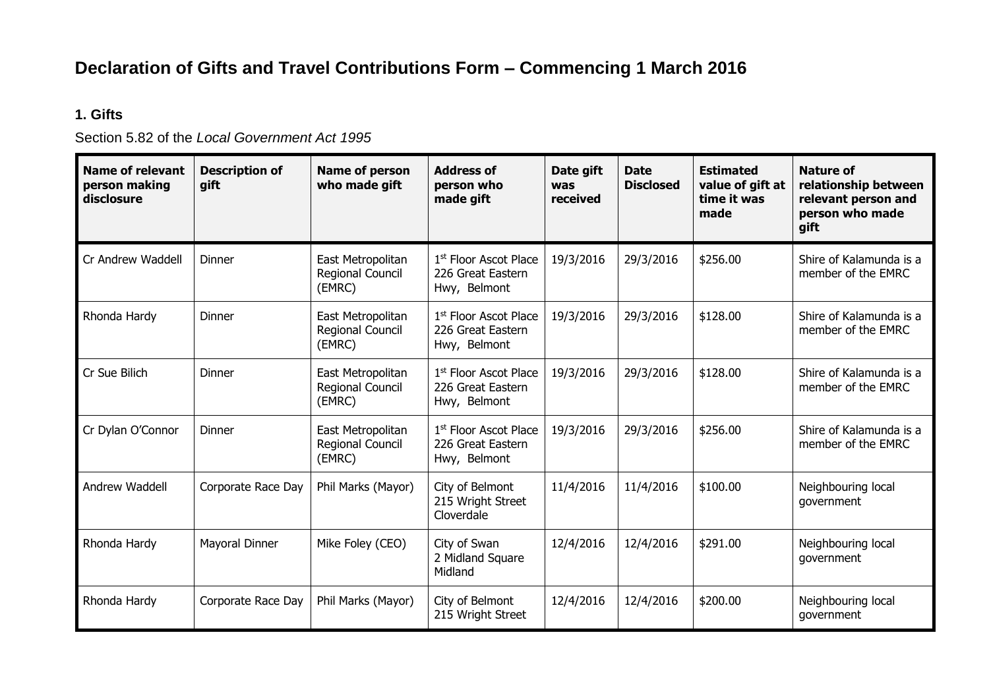## **Declaration of Gifts and Travel Contributions Form – Commencing 1 March 2016**

## **1. Gifts**

Section 5.82 of the *Local Government Act 1995*

| <b>Name of relevant</b><br>person making<br>disclosure | <b>Description of</b><br>gift | Name of person<br>who made gift                 | <b>Address of</b><br>person who<br>made gift                           | Date gift<br>was<br>received | <b>Date</b><br><b>Disclosed</b> | <b>Estimated</b><br>value of gift at<br>time it was<br>made | <b>Nature of</b><br>relationship between<br>relevant person and<br>person who made<br>qift |  |
|--------------------------------------------------------|-------------------------------|-------------------------------------------------|------------------------------------------------------------------------|------------------------------|---------------------------------|-------------------------------------------------------------|--------------------------------------------------------------------------------------------|--|
| Cr Andrew Waddell                                      | Dinner                        | East Metropolitan<br>Regional Council<br>(EMRC) | 1 <sup>st</sup> Floor Ascot Place<br>226 Great Eastern<br>Hwy, Belmont | 19/3/2016                    | 29/3/2016                       | \$256.00                                                    | Shire of Kalamunda is a<br>member of the EMRC                                              |  |
| Rhonda Hardy                                           | Dinner                        | East Metropolitan<br>Regional Council<br>(EMRC) | 1 <sup>st</sup> Floor Ascot Place<br>226 Great Eastern<br>Hwy, Belmont | 19/3/2016                    | 29/3/2016                       | \$128.00                                                    | Shire of Kalamunda is a<br>member of the EMRC                                              |  |
| Cr Sue Bilich                                          | Dinner                        | East Metropolitan<br>Regional Council<br>(EMRC) | 1st Floor Ascot Place<br>226 Great Eastern<br>Hwy, Belmont             | 19/3/2016                    | 29/3/2016                       | \$128.00                                                    | Shire of Kalamunda is a<br>member of the EMRC                                              |  |
| Cr Dylan O'Connor                                      | Dinner                        | East Metropolitan<br>Regional Council<br>(EMRC) | 1 <sup>st</sup> Floor Ascot Place<br>226 Great Eastern<br>Hwy, Belmont | 19/3/2016                    | 29/3/2016                       | \$256.00                                                    | Shire of Kalamunda is a<br>member of the EMRC                                              |  |
| Andrew Waddell                                         | Corporate Race Day            | Phil Marks (Mayor)                              | City of Belmont<br>215 Wright Street<br>Cloverdale                     | 11/4/2016                    | 11/4/2016                       | \$100.00                                                    | Neighbouring local<br>government                                                           |  |
| Rhonda Hardy                                           | Mayoral Dinner                | Mike Foley (CEO)                                | City of Swan<br>2 Midland Square<br>Midland                            | 12/4/2016                    | 12/4/2016                       | \$291.00                                                    | Neighbouring local<br>government                                                           |  |
| Rhonda Hardy                                           | Corporate Race Day            | Phil Marks (Mayor)                              | City of Belmont<br>215 Wright Street                                   | 12/4/2016                    | 12/4/2016                       | \$200.00                                                    | Neighbouring local<br>government                                                           |  |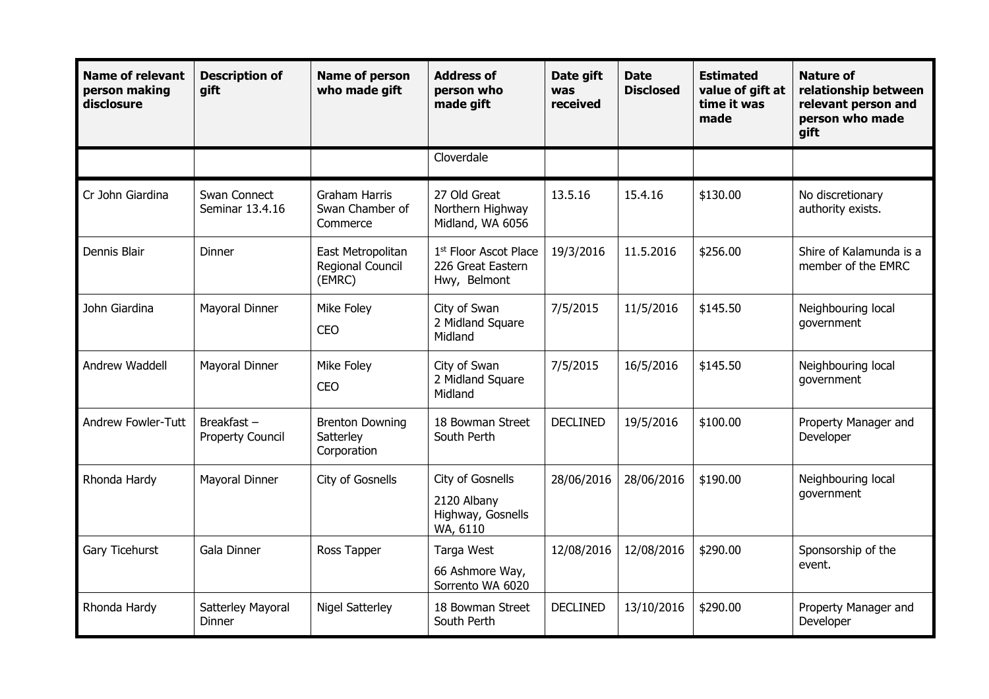| <b>Name of relevant</b><br>person making<br>disclosure | <b>Description of</b><br>gift            | <b>Name of person</b><br>who made gift              | <b>Address of</b><br>person who<br>made gift                           | Date gift<br>was<br>received | <b>Date</b><br><b>Disclosed</b> | <b>Estimated</b><br>value of gift at<br>time it was<br>made | <b>Nature of</b><br>relationship between<br>relevant person and<br>person who made<br>gift |
|--------------------------------------------------------|------------------------------------------|-----------------------------------------------------|------------------------------------------------------------------------|------------------------------|---------------------------------|-------------------------------------------------------------|--------------------------------------------------------------------------------------------|
|                                                        |                                          |                                                     | Cloverdale                                                             |                              |                                 |                                                             |                                                                                            |
| Cr John Giardina                                       | Swan Connect<br>Seminar 13.4.16          | <b>Graham Harris</b><br>Swan Chamber of<br>Commerce | 27 Old Great<br>Northern Highway<br>Midland, WA 6056                   | 13.5.16                      | 15.4.16                         | \$130.00                                                    | No discretionary<br>authority exists.                                                      |
| Dennis Blair                                           | Dinner                                   | East Metropolitan<br>Regional Council<br>(EMRC)     | 1 <sup>st</sup> Floor Ascot Place<br>226 Great Eastern<br>Hwy, Belmont | 19/3/2016                    | 11.5.2016                       | \$256.00                                                    | Shire of Kalamunda is a<br>member of the EMRC                                              |
| John Giardina                                          | Mayoral Dinner                           | Mike Foley<br><b>CEO</b>                            | City of Swan<br>2 Midland Square<br>Midland                            | 7/5/2015                     | 11/5/2016                       | \$145.50                                                    | Neighbouring local<br>government                                                           |
| Andrew Waddell                                         | Mayoral Dinner                           | Mike Foley<br><b>CEO</b>                            | City of Swan<br>2 Midland Square<br>Midland                            | 7/5/2015                     | 16/5/2016                       | \$145.50                                                    | Neighbouring local<br>government                                                           |
| Andrew Fowler-Tutt                                     | Breakfast $-$<br><b>Property Council</b> | <b>Brenton Downing</b><br>Satterley<br>Corporation  | 18 Bowman Street<br>South Perth                                        | <b>DECLINED</b>              | 19/5/2016                       | \$100.00                                                    | Property Manager and<br>Developer                                                          |
| Rhonda Hardy                                           | Mayoral Dinner                           | City of Gosnells                                    | City of Gosnells<br>2120 Albany<br>Highway, Gosnells<br>WA, 6110       | 28/06/2016                   | 28/06/2016                      | \$190.00                                                    | Neighbouring local<br>government                                                           |
| Gary Ticehurst                                         | Gala Dinner                              | Ross Tapper                                         | Targa West<br>66 Ashmore Way,<br>Sorrento WA 6020                      | 12/08/2016                   | 12/08/2016                      | \$290.00                                                    | Sponsorship of the<br>event.                                                               |
| Rhonda Hardy                                           | Satterley Mayoral<br>Dinner              | <b>Nigel Satterley</b>                              | 18 Bowman Street<br>South Perth                                        | <b>DECLINED</b>              | 13/10/2016                      | \$290.00                                                    | Property Manager and<br>Developer                                                          |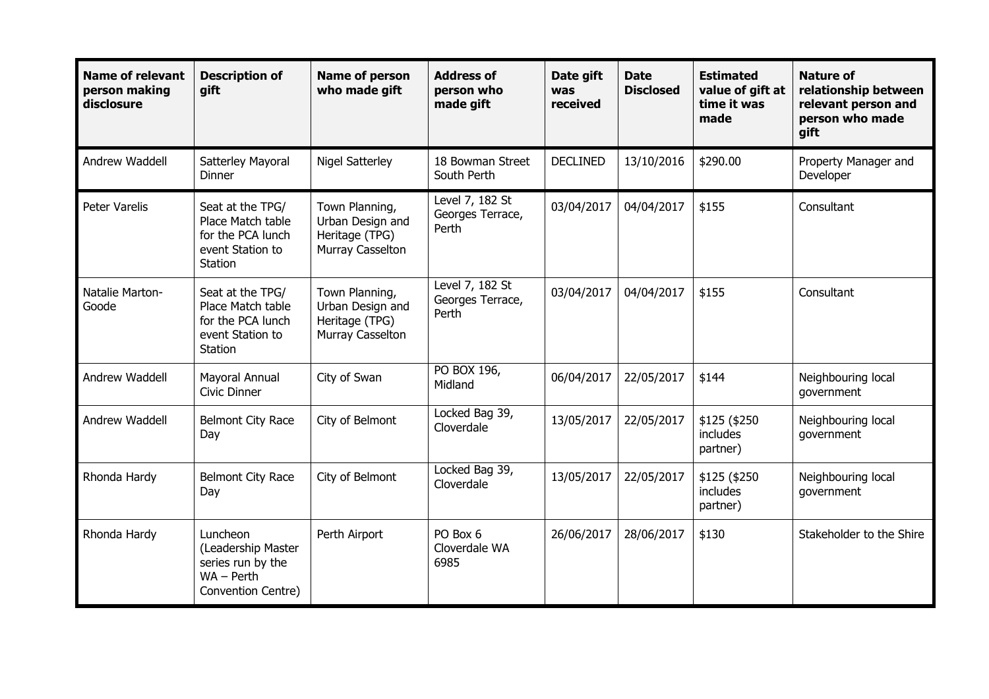| <b>Name of relevant</b><br>person making<br>disclosure | <b>Description of</b><br>gift                                                             | <b>Name of person</b><br>who made gift                                   | <b>Address of</b><br>person who<br>made gift | Date gift<br>was<br>received | <b>Date</b><br><b>Disclosed</b> | <b>Estimated</b><br>value of gift at<br>time it was<br>made | <b>Nature of</b><br>relationship between<br>relevant person and<br>person who made<br>gift |
|--------------------------------------------------------|-------------------------------------------------------------------------------------------|--------------------------------------------------------------------------|----------------------------------------------|------------------------------|---------------------------------|-------------------------------------------------------------|--------------------------------------------------------------------------------------------|
| Andrew Waddell                                         | Satterley Mayoral<br>Dinner                                                               | <b>Nigel Satterley</b>                                                   | 18 Bowman Street<br>South Perth              | <b>DECLINED</b>              | 13/10/2016                      | \$290.00                                                    | Property Manager and<br>Developer                                                          |
| <b>Peter Varelis</b>                                   | Seat at the TPG/<br>Place Match table<br>for the PCA lunch<br>event Station to<br>Station | Town Planning,<br>Urban Design and<br>Heritage (TPG)<br>Murray Casselton | Level 7, 182 St<br>Georges Terrace,<br>Perth | 03/04/2017                   | 04/04/2017                      | \$155                                                       | Consultant                                                                                 |
| Natalie Marton-<br>Goode                               | Seat at the TPG/<br>Place Match table<br>for the PCA lunch<br>event Station to<br>Station | Town Planning,<br>Urban Design and<br>Heritage (TPG)<br>Murray Casselton | Level 7, 182 St<br>Georges Terrace,<br>Perth | 03/04/2017                   | 04/04/2017                      | \$155                                                       | Consultant                                                                                 |
| Andrew Waddell                                         | Mayoral Annual<br><b>Civic Dinner</b>                                                     | City of Swan                                                             | PO BOX 196,<br>Midland                       | 06/04/2017                   | 22/05/2017                      | \$144                                                       | Neighbouring local<br>government                                                           |
| Andrew Waddell                                         | <b>Belmont City Race</b><br>Day                                                           | City of Belmont                                                          | Locked Bag 39,<br>Cloverdale                 | 13/05/2017                   | 22/05/2017                      | \$125 (\$250<br>includes<br>partner)                        | Neighbouring local<br>government                                                           |
| Rhonda Hardy                                           | Belmont City Race<br>Day                                                                  | City of Belmont                                                          | Locked Bag 39,<br>Cloverdale                 | 13/05/2017                   | 22/05/2017                      | \$125 (\$250<br>includes<br>partner)                        | Neighbouring local<br>government                                                           |
| Rhonda Hardy                                           | Luncheon<br>(Leadership Master<br>series run by the<br>$WA - Perth$<br>Convention Centre) | Perth Airport                                                            | PO Box 6<br>Cloverdale WA<br>6985            | 26/06/2017                   | 28/06/2017                      | \$130                                                       | Stakeholder to the Shire                                                                   |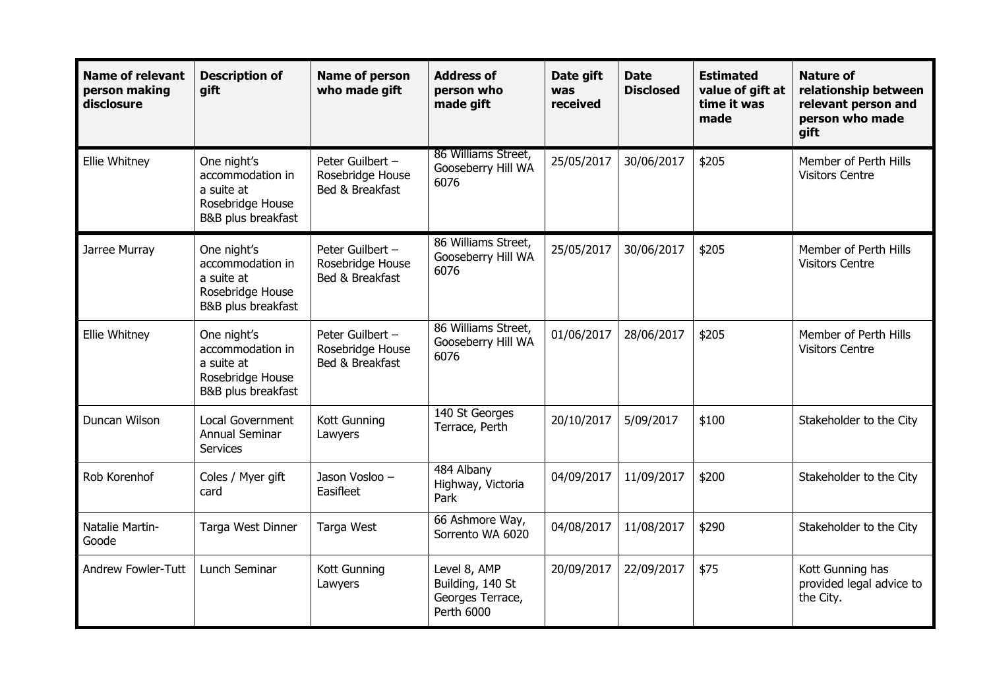| <b>Name of relevant</b><br>person making<br>disclosure | <b>Description of</b><br>gift                                                           | Name of person<br>who made gift                         | <b>Address of</b><br>person who<br>made gift                       | Date gift<br>was<br>received | <b>Date</b><br><b>Disclosed</b> | <b>Estimated</b><br>value of gift at<br>time it was<br>made | <b>Nature of</b><br>relationship between<br>relevant person and<br>person who made<br>gift |
|--------------------------------------------------------|-----------------------------------------------------------------------------------------|---------------------------------------------------------|--------------------------------------------------------------------|------------------------------|---------------------------------|-------------------------------------------------------------|--------------------------------------------------------------------------------------------|
| Ellie Whitney                                          | One night's<br>accommodation in<br>a suite at<br>Rosebridge House<br>B&B plus breakfast | Peter Guilbert -<br>Rosebridge House<br>Bed & Breakfast | 86 Williams Street,<br>Gooseberry Hill WA<br>6076                  | 25/05/2017                   | 30/06/2017                      | \$205                                                       | Member of Perth Hills<br><b>Visitors Centre</b>                                            |
| Jarree Murray                                          | One night's<br>accommodation in<br>a suite at<br>Rosebridge House<br>B&B plus breakfast | Peter Guilbert -<br>Rosebridge House<br>Bed & Breakfast | 86 Williams Street,<br>Gooseberry Hill WA<br>6076                  | 25/05/2017                   | 30/06/2017                      | \$205                                                       | Member of Perth Hills<br><b>Visitors Centre</b>                                            |
| Ellie Whitney                                          | One night's<br>accommodation in<br>a suite at<br>Rosebridge House<br>B&B plus breakfast | Peter Guilbert -<br>Rosebridge House<br>Bed & Breakfast | 86 Williams Street,<br>Gooseberry Hill WA<br>6076                  | 01/06/2017                   | 28/06/2017                      | \$205                                                       | Member of Perth Hills<br><b>Visitors Centre</b>                                            |
| Duncan Wilson                                          | <b>Local Government</b><br>Annual Seminar<br><b>Services</b>                            | Kott Gunning<br>Lawyers                                 | 140 St Georges<br>Terrace, Perth                                   | 20/10/2017                   | 5/09/2017                       | \$100                                                       | Stakeholder to the City                                                                    |
| Rob Korenhof                                           | Coles / Myer gift<br>card                                                               | Jason Vosloo -<br>Easifleet                             | 484 Albany<br>Highway, Victoria<br>Park                            | 04/09/2017                   | 11/09/2017                      | \$200                                                       | Stakeholder to the City                                                                    |
| Natalie Martin-<br>Goode                               | Targa West Dinner                                                                       | Targa West                                              | 66 Ashmore Way,<br>Sorrento WA 6020                                | 04/08/2017                   | 11/08/2017                      | \$290                                                       | Stakeholder to the City                                                                    |
| Andrew Fowler-Tutt                                     | Lunch Seminar                                                                           | Kott Gunning<br>Lawyers                                 | Level 8, AMP<br>Building, 140 St<br>Georges Terrace,<br>Perth 6000 | 20/09/2017                   | 22/09/2017                      | \$75                                                        | Kott Gunning has<br>provided legal advice to<br>the City.                                  |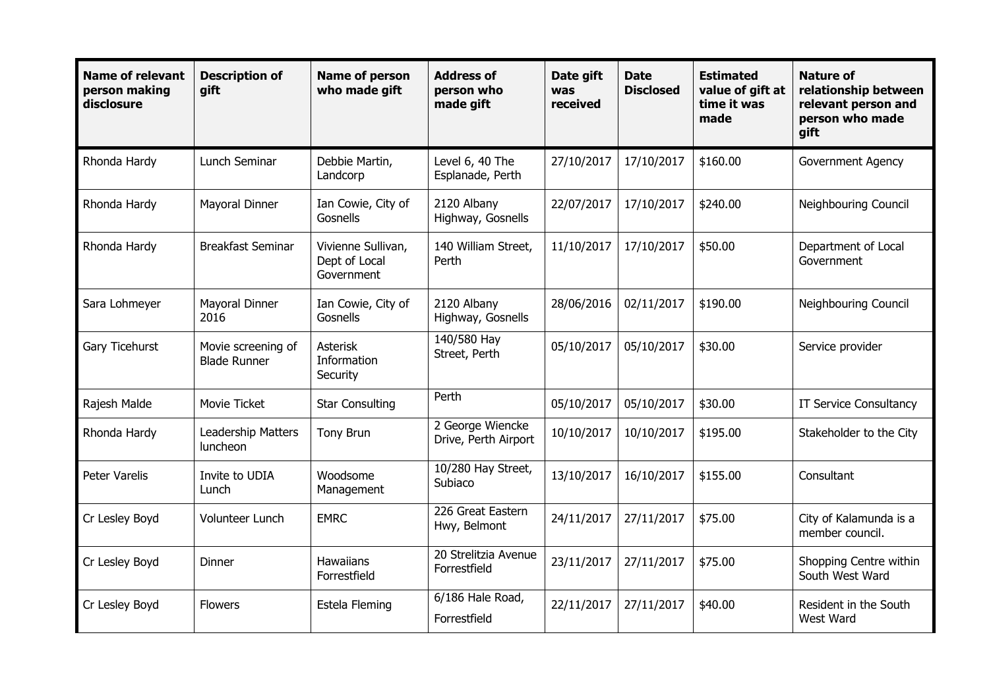| <b>Name of relevant</b><br>person making<br>disclosure | <b>Description of</b><br>gift             | <b>Name of person</b><br>who made gift            | <b>Address of</b><br>person who<br>made gift | Date gift<br><b>was</b><br>received | <b>Date</b><br><b>Disclosed</b> | <b>Estimated</b><br>value of gift at<br>time it was<br>made | <b>Nature of</b><br>relationship between<br>relevant person and<br>person who made<br>gift |
|--------------------------------------------------------|-------------------------------------------|---------------------------------------------------|----------------------------------------------|-------------------------------------|---------------------------------|-------------------------------------------------------------|--------------------------------------------------------------------------------------------|
| Rhonda Hardy                                           | Lunch Seminar                             | Debbie Martin,<br>Landcorp                        | Level 6, 40 The<br>Esplanade, Perth          | 27/10/2017                          | 17/10/2017                      | \$160.00                                                    | Government Agency                                                                          |
| Rhonda Hardy                                           | Mayoral Dinner                            | Ian Cowie, City of<br>Gosnells                    | 2120 Albany<br>Highway, Gosnells             | 22/07/2017                          | 17/10/2017                      | \$240.00                                                    | Neighbouring Council                                                                       |
| Rhonda Hardy                                           | <b>Breakfast Seminar</b>                  | Vivienne Sullivan,<br>Dept of Local<br>Government | 140 William Street,<br>Perth                 | 11/10/2017                          | 17/10/2017                      | \$50.00                                                     | Department of Local<br>Government                                                          |
| Sara Lohmeyer                                          | Mayoral Dinner<br>2016                    | Ian Cowie, City of<br>Gosnells                    | 2120 Albany<br>Highway, Gosnells             | 28/06/2016                          | 02/11/2017                      | \$190.00                                                    | <b>Neighbouring Council</b>                                                                |
| Gary Ticehurst                                         | Movie screening of<br><b>Blade Runner</b> | <b>Asterisk</b><br>Information<br>Security        | 140/580 Hay<br>Street, Perth                 | 05/10/2017                          | 05/10/2017                      | \$30.00                                                     | Service provider                                                                           |
| Rajesh Malde                                           | Movie Ticket                              | <b>Star Consulting</b>                            | Perth                                        | 05/10/2017                          | 05/10/2017                      | \$30.00                                                     | IT Service Consultancy                                                                     |
| Rhonda Hardy                                           | Leadership Matters<br>luncheon            | Tony Brun                                         | 2 George Wiencke<br>Drive, Perth Airport     | 10/10/2017                          | 10/10/2017                      | \$195.00                                                    | Stakeholder to the City                                                                    |
| Peter Varelis                                          | Invite to UDIA<br>Lunch                   | Woodsome<br>Management                            | 10/280 Hay Street,<br>Subiaco                | 13/10/2017                          | 16/10/2017                      | \$155.00                                                    | Consultant                                                                                 |
| Cr Lesley Boyd                                         | Volunteer Lunch                           | <b>EMRC</b>                                       | 226 Great Eastern<br>Hwy, Belmont            | 24/11/2017                          | 27/11/2017                      | \$75.00                                                     | City of Kalamunda is a<br>member council.                                                  |
| Cr Lesley Boyd                                         | Dinner                                    | <b>Hawaiians</b><br>Forrestfield                  | 20 Strelitzia Avenue<br>Forrestfield         | 23/11/2017                          | 27/11/2017                      | \$75.00                                                     | Shopping Centre within<br>South West Ward                                                  |
| Cr Lesley Boyd                                         | <b>Flowers</b>                            | Estela Fleming                                    | 6/186 Hale Road,<br>Forrestfield             | 22/11/2017                          | 27/11/2017                      | \$40.00                                                     | Resident in the South<br>West Ward                                                         |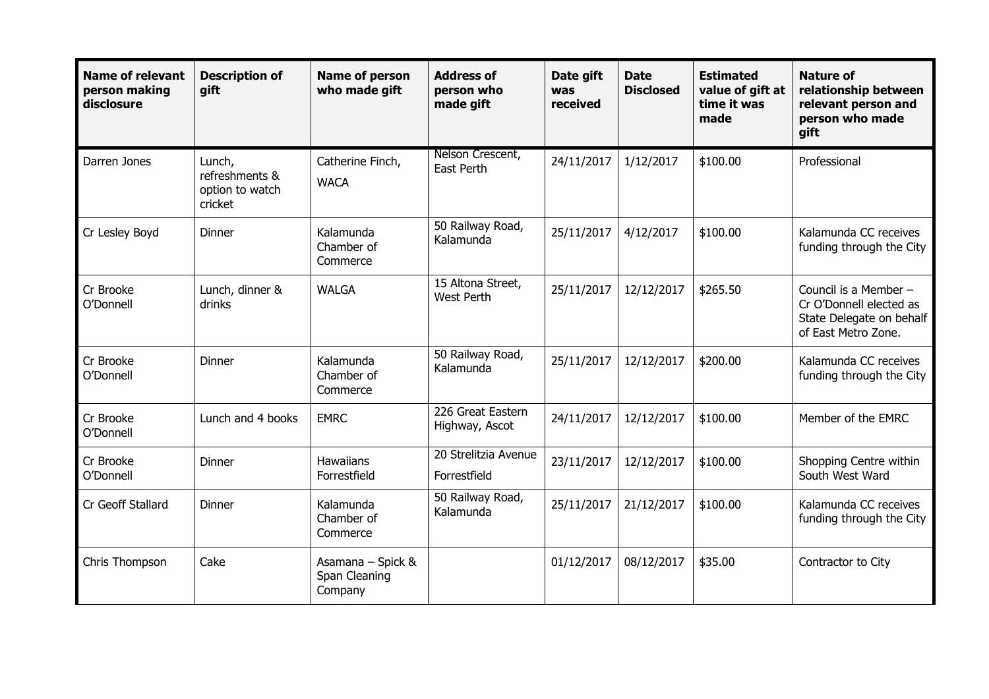| <b>Name of relevant</b><br>person making<br>disclosure | <b>Description of</b><br>gift                          | <b>Name of person</b><br>who made gift        | <b>Address of</b><br>person who<br>made gift | Date gift<br>was<br>received | <b>Date</b><br><b>Disclosed</b> | <b>Estimated</b><br>value of gift at<br>time it was<br>made | <b>Nature of</b><br>relationship between<br>relevant person and<br>person who made<br>qift          |
|--------------------------------------------------------|--------------------------------------------------------|-----------------------------------------------|----------------------------------------------|------------------------------|---------------------------------|-------------------------------------------------------------|-----------------------------------------------------------------------------------------------------|
| Darren Jones                                           | Lunch,<br>refreshments &<br>option to watch<br>cricket | Catherine Finch,<br><b>WACA</b>               | Nelson Crescent,<br>East Perth               | 24/11/2017                   | 1/12/2017                       | \$100.00                                                    | Professional                                                                                        |
| Cr Lesley Boyd                                         | Dinner                                                 | Kalamunda<br>Chamber of<br>Commerce           | 50 Railway Road,<br>Kalamunda                | 25/11/2017                   | 4/12/2017                       | \$100.00                                                    | Kalamunda CC receives<br>funding through the City                                                   |
| Cr Brooke<br>O'Donnell                                 | Lunch, dinner &<br>drinks                              | <b>WALGA</b>                                  | 15 Altona Street,<br>West Perth              | 25/11/2017                   | 12/12/2017                      | \$265.50                                                    | Council is a Member -<br>Cr O'Donnell elected as<br>State Delegate on behalf<br>of East Metro Zone. |
| Cr Brooke<br>O'Donnell                                 | Dinner                                                 | Kalamunda<br>Chamber of<br>Commerce           | 50 Railway Road,<br>Kalamunda                | 25/11/2017                   | 12/12/2017                      | \$200.00                                                    | Kalamunda CC receives<br>funding through the City                                                   |
| Cr Brooke<br>O'Donnell                                 | Lunch and 4 books                                      | <b>EMRC</b>                                   | 226 Great Eastern<br>Highway, Ascot          | 24/11/2017                   | 12/12/2017                      | \$100.00                                                    | Member of the EMRC                                                                                  |
| Cr Brooke<br>O'Donnell                                 | Dinner                                                 | <b>Hawaiians</b><br>Forrestfield              | 20 Strelitzia Avenue<br>Forrestfield         | 23/11/2017                   | 12/12/2017                      | \$100.00                                                    | Shopping Centre within<br>South West Ward                                                           |
| Cr Geoff Stallard                                      | Dinner                                                 | Kalamunda<br>Chamber of<br>Commerce           | 50 Railway Road,<br>Kalamunda                | 25/11/2017                   | 21/12/2017                      | \$100.00                                                    | Kalamunda CC receives<br>funding through the City                                                   |
| Chris Thompson                                         | Cake                                                   | Asamana - Spick &<br>Span Cleaning<br>Company |                                              | 01/12/2017                   | 08/12/2017                      | \$35.00                                                     | Contractor to City                                                                                  |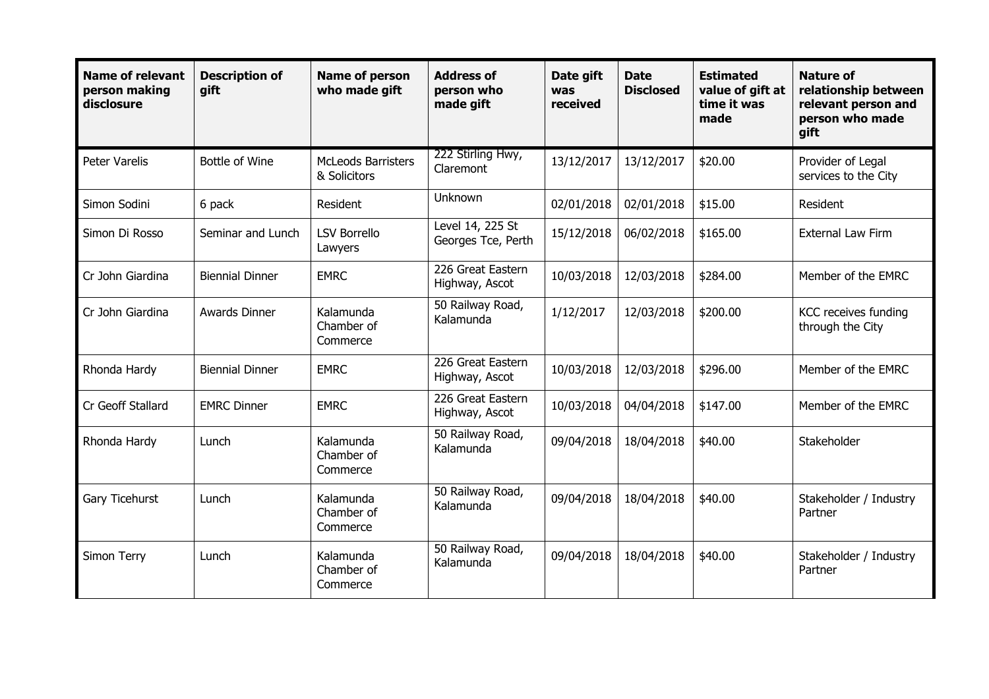| <b>Name of relevant</b><br>person making<br>disclosure | <b>Description of</b><br>gift | <b>Name of person</b><br>who made gift    | <b>Address of</b><br>person who<br>made gift | Date gift<br>was<br>received | <b>Date</b><br><b>Disclosed</b> | <b>Estimated</b><br>value of gift at<br>time it was<br>made | <b>Nature of</b><br>relationship between<br>relevant person and<br>person who made<br>qift |
|--------------------------------------------------------|-------------------------------|-------------------------------------------|----------------------------------------------|------------------------------|---------------------------------|-------------------------------------------------------------|--------------------------------------------------------------------------------------------|
| <b>Peter Varelis</b>                                   | <b>Bottle of Wine</b>         | <b>McLeods Barristers</b><br>& Solicitors | 222 Stirling Hwy,<br>Claremont               | 13/12/2017                   | 13/12/2017                      | \$20.00                                                     | Provider of Legal<br>services to the City                                                  |
| Simon Sodini                                           | 6 pack                        | Resident                                  | Unknown                                      | 02/01/2018                   | 02/01/2018                      | \$15.00                                                     | Resident                                                                                   |
| Simon Di Rosso                                         | Seminar and Lunch             | <b>LSV Borrello</b><br>Lawyers            | Level 14, 225 St<br>Georges Tce, Perth       | 15/12/2018                   | 06/02/2018                      | \$165.00                                                    | <b>External Law Firm</b>                                                                   |
| Cr John Giardina                                       | <b>Biennial Dinner</b>        | <b>EMRC</b>                               | 226 Great Eastern<br>Highway, Ascot          | 10/03/2018                   | 12/03/2018                      | \$284.00                                                    | Member of the EMRC                                                                         |
| Cr John Giardina                                       | Awards Dinner                 | Kalamunda<br>Chamber of<br>Commerce       | 50 Railway Road,<br>Kalamunda                | 1/12/2017                    | 12/03/2018                      | \$200.00                                                    | KCC receives funding<br>through the City                                                   |
| Rhonda Hardy                                           | <b>Biennial Dinner</b>        | <b>EMRC</b>                               | 226 Great Eastern<br>Highway, Ascot          | 10/03/2018                   | 12/03/2018                      | \$296.00                                                    | Member of the EMRC                                                                         |
| Cr Geoff Stallard                                      | <b>EMRC Dinner</b>            | <b>EMRC</b>                               | 226 Great Eastern<br>Highway, Ascot          | 10/03/2018                   | 04/04/2018                      | \$147.00                                                    | Member of the EMRC                                                                         |
| Rhonda Hardy                                           | Lunch                         | Kalamunda<br>Chamber of<br>Commerce       | 50 Railway Road,<br>Kalamunda                | 09/04/2018                   | 18/04/2018                      | \$40.00                                                     | Stakeholder                                                                                |
| Gary Ticehurst                                         | Lunch                         | Kalamunda<br>Chamber of<br>Commerce       | 50 Railway Road,<br>Kalamunda                | 09/04/2018                   | 18/04/2018                      | \$40.00                                                     | Stakeholder / Industry<br>Partner                                                          |
| Simon Terry                                            | Lunch                         | Kalamunda<br>Chamber of<br>Commerce       | 50 Railway Road,<br>Kalamunda                | 09/04/2018                   | 18/04/2018                      | \$40.00                                                     | Stakeholder / Industry<br>Partner                                                          |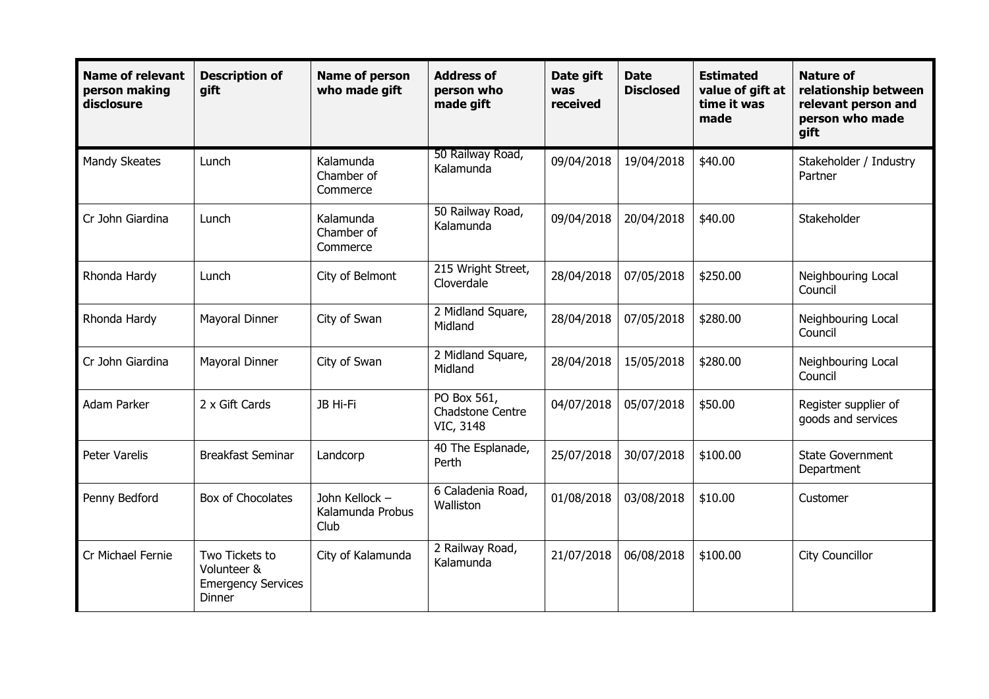| <b>Name of relevant</b><br>person making<br>disclosure | <b>Description of</b><br>gift                                               | <b>Name of person</b><br>who made gift     | <b>Address of</b><br>person who<br>made gift        | Date gift<br>was<br>received | <b>Date</b><br><b>Disclosed</b> | <b>Estimated</b><br>value of gift at<br>time it was<br>made | <b>Nature of</b><br>relationship between<br>relevant person and<br>person who made<br>gift |
|--------------------------------------------------------|-----------------------------------------------------------------------------|--------------------------------------------|-----------------------------------------------------|------------------------------|---------------------------------|-------------------------------------------------------------|--------------------------------------------------------------------------------------------|
| Mandy Skeates                                          | Lunch                                                                       | Kalamunda<br>Chamber of<br>Commerce        | 50 Railway Road,<br>Kalamunda                       | 09/04/2018                   | 19/04/2018                      | \$40.00                                                     | Stakeholder / Industry<br>Partner                                                          |
| Cr John Giardina                                       | Lunch                                                                       | Kalamunda<br>Chamber of<br>Commerce        | 50 Railway Road,<br>Kalamunda                       | 09/04/2018                   | 20/04/2018                      | \$40.00                                                     | Stakeholder                                                                                |
| Rhonda Hardy                                           | Lunch                                                                       | City of Belmont                            | 215 Wright Street,<br>Cloverdale                    | 28/04/2018                   | 07/05/2018                      | \$250.00                                                    | Neighbouring Local<br>Council                                                              |
| Rhonda Hardy                                           | Mayoral Dinner                                                              | City of Swan                               | 2 Midland Square,<br>Midland                        | 28/04/2018                   | 07/05/2018                      | \$280.00                                                    | Neighbouring Local<br>Council                                                              |
| Cr John Giardina                                       | Mayoral Dinner                                                              | City of Swan                               | 2 Midland Square,<br>Midland                        | 28/04/2018                   | 15/05/2018                      | \$280.00                                                    | Neighbouring Local<br>Council                                                              |
| Adam Parker                                            | 2 x Gift Cards                                                              | JB Hi-Fi                                   | PO Box 561,<br><b>Chadstone Centre</b><br>VIC, 3148 | 04/07/2018                   | 05/07/2018                      | \$50.00                                                     | Register supplier of<br>goods and services                                                 |
| <b>Peter Varelis</b>                                   | <b>Breakfast Seminar</b>                                                    | Landcorp                                   | 40 The Esplanade,<br>Perth                          | 25/07/2018                   | 30/07/2018                      | \$100.00                                                    | <b>State Government</b><br>Department                                                      |
| Penny Bedford                                          | <b>Box of Chocolates</b>                                                    | John Kellock -<br>Kalamunda Probus<br>Club | 6 Caladenia Road,<br>Walliston                      | 01/08/2018                   | 03/08/2018                      | \$10.00                                                     | Customer                                                                                   |
| Cr Michael Fernie                                      | Two Tickets to<br>Volunteer &<br><b>Emergency Services</b><br><b>Dinner</b> | City of Kalamunda                          | 2 Railway Road,<br>Kalamunda                        | 21/07/2018                   | 06/08/2018                      | \$100.00                                                    | City Councillor                                                                            |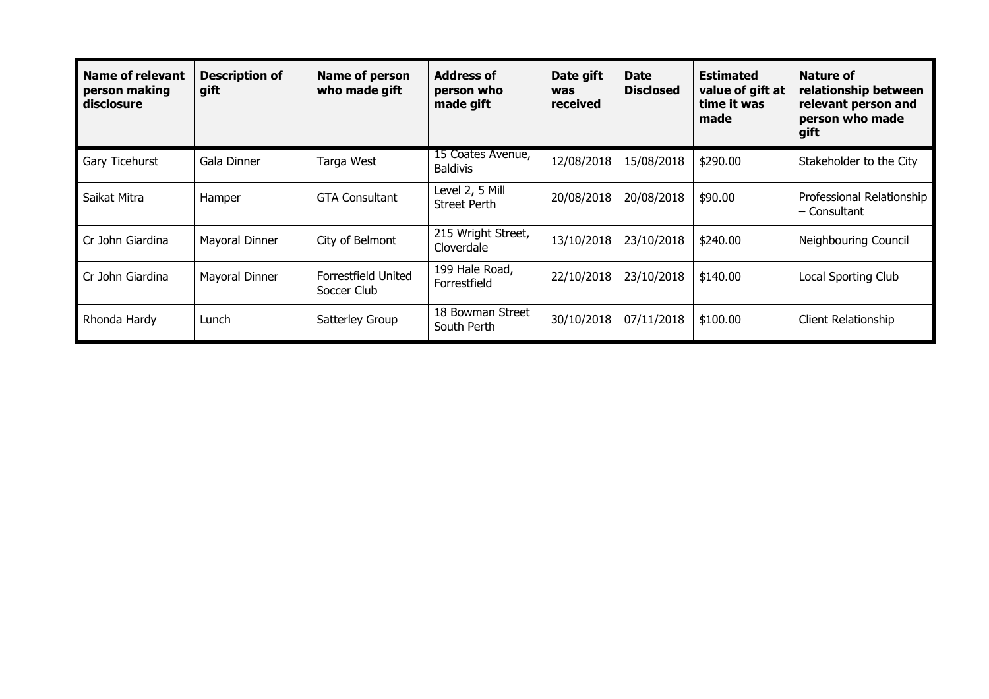| Name of relevant<br>person making<br>disclosure | <b>Description of</b><br>gift | Name of person<br>who made gift           | <b>Address of</b><br>person who<br>made gift | Date gift<br>was<br>received | <b>Date</b><br><b>Disclosed</b> | <b>Estimated</b><br>value of gift at<br>time it was<br>made | Nature of<br>relationship between<br>relevant person and<br>person who made<br>gift |
|-------------------------------------------------|-------------------------------|-------------------------------------------|----------------------------------------------|------------------------------|---------------------------------|-------------------------------------------------------------|-------------------------------------------------------------------------------------|
| Gary Ticehurst                                  | Gala Dinner                   | Targa West                                | 15 Coates Avenue,<br><b>Baldivis</b>         | 12/08/2018                   | 15/08/2018                      | \$290.00                                                    | Stakeholder to the City                                                             |
| Saikat Mitra                                    | Hamper                        | <b>GTA Consultant</b>                     | Level 2, 5 Mill<br><b>Street Perth</b>       | 20/08/2018                   | 20/08/2018                      | \$90.00                                                     | Professional Relationship<br>– Consultant                                           |
| Cr John Giardina                                | Mayoral Dinner                | City of Belmont                           | 215 Wright Street,<br>Cloverdale             | 13/10/2018                   | 23/10/2018                      | \$240.00                                                    | Neighbouring Council                                                                |
| Cr John Giardina                                | Mayoral Dinner                | <b>Forrestfield United</b><br>Soccer Club | 199 Hale Road,<br>Forrestfield               | 22/10/2018                   | 23/10/2018                      | \$140.00                                                    | Local Sporting Club                                                                 |
| Rhonda Hardy                                    | Lunch                         | Satterley Group                           | 18 Bowman Street<br>South Perth              | 30/10/2018                   | 07/11/2018                      | \$100.00                                                    | Client Relationship                                                                 |